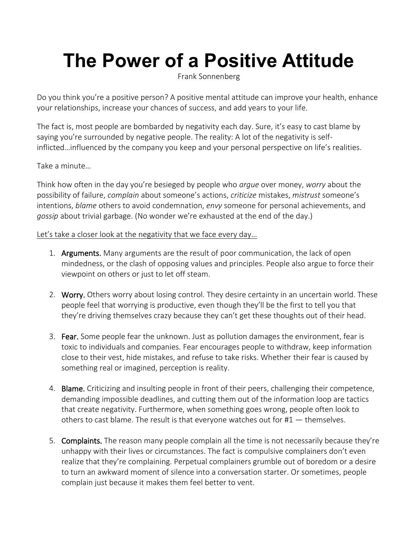## **The Power of a Positive Attitude**

[Frank Sonnenberg](https://www.franksonnenbergonline.com/author/fsoadmin/)

Do you think you're a positive person? A positive mental attitude can improve your health, enhance your relationships, increase your chances of success, and add years to your life.

The fact is, most people are bombarded by negativity each day. Sure, it's easy to cast blame by saying you're surrounded by negative people. The reality: A lot of the negativity is selfinflicted…influenced by the company you keep and your personal perspective on life's realities.

Take a minute…

Think how often in the day you're besieged by people who *argue* over money, *worry* about the possibility of failure, *complain* about someone's actions, *criticize* mistakes, *mistrust* someone's intentions, *blame* others to avoid condemnation, *envy* someone for personal achievements, and *gossip* about trivial garbage. (No wonder we're exhausted at the end of the day.)

Let's take a closer look at the [negativity](https://www.franksonnenbergonline.com/blog/how-heavy-is-your-baggage/) that we face every day…

- 1. Arguments. Many arguments are the result of [poor communication,](https://www.franksonnenbergonline.com/blog/may-i-have-a-word-with-you/) the lack of open mindedness, or the clash of opposing values and principles. People also argue to force their viewpoint on others or just to let off steam.
- 2. Worry. Others worry about losing control. They desire certainty in an uncertain world. These people feel that worrying is productive, even though they'll be the first to tell you that they're driving themselves crazy because they can't get these thoughts out of their head.
- 3. Fear. Some people fear the unknown. Just as pollution damages the environment, fear is toxic to individuals and companies. Fear encourages people to withdraw, keep information close to their vest, hide mistakes, and refuse to take risks. Whether their fear is caused by something real or imagined, perception is reality.
- 4. Blame. Criticizing and insulting people in front of their peers, challenging their competence, demanding impossible deadlines, and cutting them out of the information loop are tactics that create negativity. Furthermore, when something goes wrong, people often look to others to cast blame. The result is that everyone watches out for #1 — themselves.
- 5. Complaints. The reason many people complain all the time is not necessarily because they're unhappy with their lives or circumstances. The fact is compulsive complainers don't even realize that they're complaining. Perpetual complainers grumble out of boredom or a desire to turn an awkward moment of silence into a conversation starter. Or sometimes, people complain just because it makes them feel better to vent.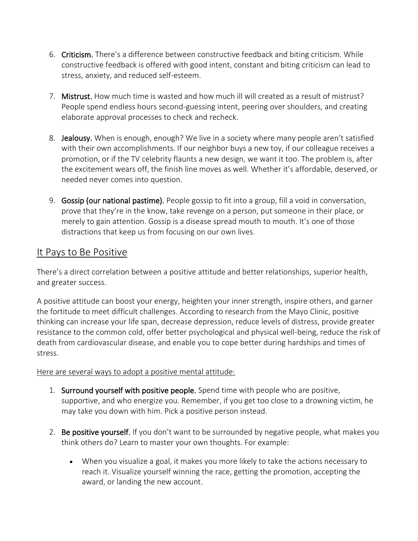- 6. Criticism. There's a difference between constructive feedback and biting criticism. While constructive feedback is offered with good intent, constant and biting criticism can lead to stress, anxiety, and reduced self-esteem.
- 7. Mistrust. How much time is wasted and how much ill will created as a result of mistrust? People spend endless hours second-guessing intent, peering over shoulders, and creating elaborate approval processes to check and recheck.
- 8. Jealousy. When is enough, enough? We live in a society where many people aren't satisfied with their own accomplishments. If our neighbor buys a new toy, if our colleague receives a promotion, or if the TV celebrity flaunts a new design, we want it too. The problem is, after the excitement wears off, the finish line moves as well. Whether it's affordable, deserved, or needed never comes into question.
- 9. Gossip (our national pastime). People gossip to fit into a group, fill a void in conversation, prove that they're in the know, take revenge on a person, put someone in their place, or merely to gain attention. Gossip is a disease spread mouth to mouth. It's one of those distractions that keep us from focusing on our own lives.

## It Pays to Be Positive

There's a direct correlation between a positive attitude and better relationships, superior health, and greater success.

A positive attitude can boost your energy, heighten your inner strength, inspire others, and garner the fortitude to meet difficult challenges. According to research from the Mayo Clinic, positive thinking can increase your life span, decrease depression, reduce levels of distress, provide greater resistance to the common cold, offer better psychological and physical well-being, reduce the risk of death from cardiovascular disease, and enable you to cope better during hardships and times of stress.

## Here are several ways to adopt a positive mental attitude:

- 1. Surround yourself with positive people. Spend time with people who are positive, supportive, and who energize you. Remember, if you get too close to a drowning victim, he may take you down with him. Pick a positive person instead.
- 2. Be positive yourself. If you don't want to be surrounded by negative people, what makes you think others do? Learn to master your own thoughts. For example:
	- When you visualize a goal, it makes you more likely to take the actions necessary to reach it. Visualize yourself winning the race, getting the promotion, accepting the award, or landing the new account.